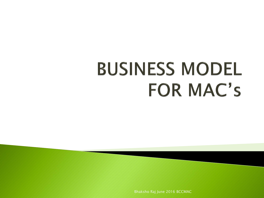# **BUSINESS MODEL FOR MAC's**

Bhaksho Raj June 2016 BCCMAC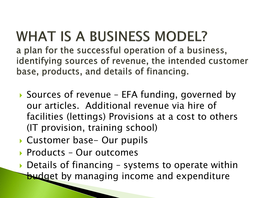### **WHAT IS A BUSINESS MODEL?**

a plan for the successful operation of a business, identifying sources of revenue, the intended customer base, products, and details of financing.

- ▶ Sources of revenue EFA funding, governed by our articles. Additional revenue via hire of facilities (lettings) Provisions at a cost to others (IT provision, training school)
- ▶ Customer base- Our pupils
- ▶ Products Our outcomes
- ▶ Details of financing systems to operate within **budget by managing income and expenditure**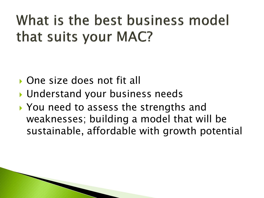#### What is the best business model that suits your MAC?

- ▶ One size does not fit all
- Understand your business needs
- ▶ You need to assess the strengths and weaknesses; building a model that will be sustainable, affordable with growth potential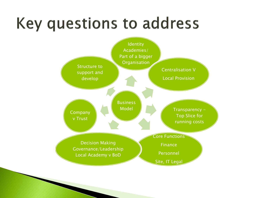## **Key questions to address**

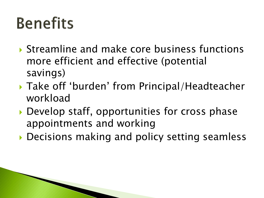## **Benefits**

- Streamline and make core business functions more efficient and effective (potential savings)
- Take off 'burden' from Principal/Headteacher workload
- ▶ Develop staff, opportunities for cross phase appointments and working
- ▶ Decisions making and policy setting seamless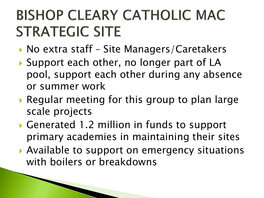#### **BISHOP CLEARY CATHOLIC MAC STRATEGIC SITE**

- $\triangleright$  No extra staff Site Managers/Caretakers
- ▶ Support each other, no longer part of LA pool, support each other during any absence or summer work
- Regular meeting for this group to plan large scale projects
- ▶ Generated 1.2 million in funds to support primary academies in maintaining their sites
- ▶ Available to support on emergency situations with boilers or breakdowns

**All Commences**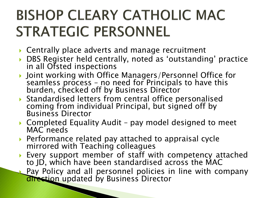#### **BISHOP CLEARY CATHOLIC MAC STRATEGIC PERSONNEL**

- ▶ Centrally place adverts and manage recruitment
- ▶ DBS Register held centrally, noted as 'outstanding' practice in all Ofsted inspections
- ▶ Joint working with Office Managers/Personnel Office for seamless process - no need for Principals to have this burden, checked off by Business Director
- Standardised letters from central office personalised coming from individual Principal, but signed off by Business Director
- ▶ Completed Equality Audit pay model designed to meet MAC needs
- ▶ Performance related pay attached to appraisal cycle mirrored with Teaching colleagues
- Every support member of staff with competency attached to JD, which have been standardised across the MAC
- Pay Policy and all personnel policies in line with company direction updated by Business Director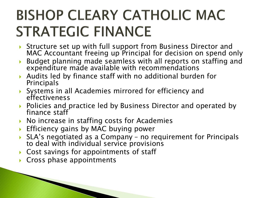#### **BISHOP CLEARY CATHOLIC MAC STRATEGIC FINANCE**

- Structure set up with full support from Business Director and MAC Accountant freeing up Principal for decision on spend only
- Budget planning made seamless with all reports on staffing and expenditure made available with recommendations
- Audits led by finance staff with no additional burden for Principals
- Systems in all Academies mirrored for efficiency and effectiveness
- ▶ Policies and practice led by Business Director and operated by finance staff
- ▶ No increase in staffing costs for Academies
- Efficiency gains by MAC buying power
- SLA's negotiated as a Company no requirement for Principals to deal with individual service provisions
- ▶ Cost savings for appointments of staff
- Cross phase appointments

**Communication Communication**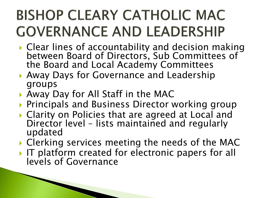#### **BISHOP CLEARY CATHOLIC MAC GOVERNANCE AND LEADERSHIP**

- ▸ Clear lines of accountability and decision making between Board of Directors, Sub Committees of the Board and Local Academy Committees
- Away Days for Governance and Leadership groups
- Away Day for All Staff in the MAC

**The Communication of the Communication** 

- **Principals and Business Director working group**
- ▶ Clarity on Policies that are agreed at Local and Director level – lists maintained and regularly updated
- ▶ Clerking services meeting the needs of the MAC
- If platform created for electronic papers for all levels of Governance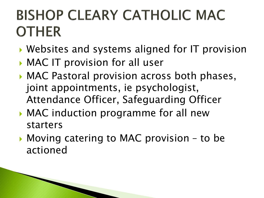#### **BISHOP CLEARY CATHOLIC MAC OTHER**

- Websites and systems aligned for IT provision
- MAC IT provision for all user
- ▶ MAC Pastoral provision across both phases, joint appointments, ie psychologist, Attendance Officer, Safeguarding Officer
- MAC induction programme for all new starters
- ▶ Moving catering to MAC provision to be actioned